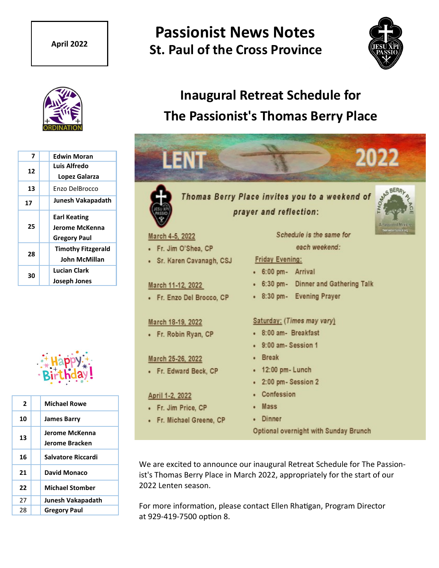## **Passionist News Notes St. Paul of the Cross Province April 2022**





| 7  | <b>Edwin Moran</b>                                           |
|----|--------------------------------------------------------------|
| 12 | Luis Alfredo<br>Lopez Galarza                                |
| 13 | Enzo DelBrocco                                               |
| 17 | Junesh Vakapadath                                            |
| 25 | <b>Earl Keating</b><br>Jerome McKenna<br><b>Gregory Paul</b> |
| 28 | <b>Timothy Fitzgerald</b><br><b>John McMillan</b>            |
| 30 | <b>Lucian Clark</b><br>Joseph Jones                          |



| $\mathbf{2}$ | <b>Michael Rowe</b>              |
|--------------|----------------------------------|
| 10           | <b>James Barry</b>               |
| 13           | Jerome McKenna<br>Jerome Bracken |
| 16           | Salvatore Riccardi               |
| 21           | <b>David Monaco</b>              |
| 22           | <b>Michael Stomber</b>           |
| 27           | Junesh Vakapadath                |
| 28           | <b>Gregory Paul</b>              |

# **Inaugural Retreat Schedule for The Passionist's Thomas Berry Place**



We are excited to announce our inaugural Retreat Schedule for The Passionist's Thomas Berry Place in March 2022, appropriately for the start of our 2022 Lenten season.

For more information, please contact Ellen Rhatigan, Program Director at 929-419-7500 option 8.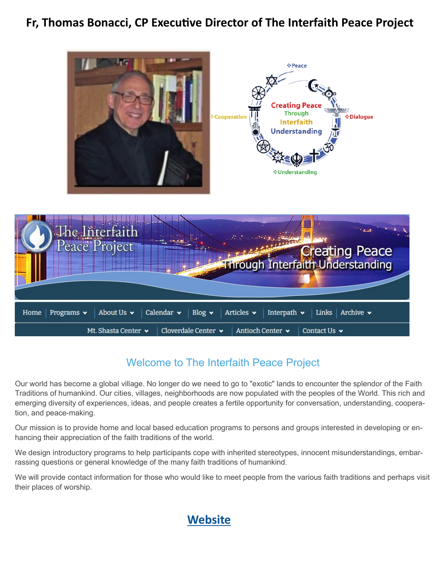## **Fr, Thomas Bonacci, CP Executive Director of The Interfaith Peace Project**



### Welcome to The Interfaith Peace Project

Our world has become a global village. No longer do we need to go to "exotic" lands to encounter the splendor of the Faith Traditions of humankind. Our cities, villages, neighborhoods are now populated with the peoples of the World. This rich and emerging diversity of experiences, ideas, and people creates a fertile opportunity for conversation, understanding, cooperation, and peace-making.

Our mission is to provide home and local based education programs to persons and groups interested in developing or enhancing their appreciation of the faith traditions of the world.

We design introductory programs to help participants cope with inherited stereotypes, innocent misunderstandings, embarrassing questions or general knowledge of the many faith traditions of humankind.

We will provide contact information for those who would like to meet people from the various faith traditions and perhaps visit their places of worship.

### **[Website](https://www.interfaithpeaceproject.org/)**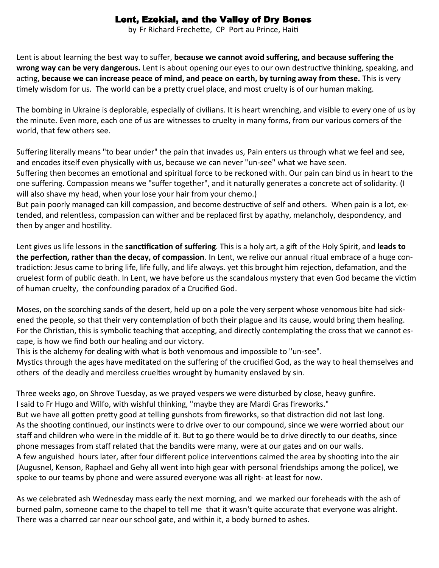### Lent, Ezekial, and the Valley of Dry Bones

by Fr Richard Frechette, CP Port au Prince, Haiti

Lent is about learning the best way to suffer, **because we cannot avoid suffering, and because suffering the wrong way can be very dangerous.** Lent is about opening our eyes to our own destructive thinking, speaking, and acting, **because we can increase peace of mind, and peace on earth, by turning away from these.** This is very timely wisdom for us. The world can be a pretty cruel place, and most cruelty is of our human making.

The bombing in Ukraine is deplorable, especially of civilians. It is heart wrenching, and visible to every one of us by the minute. Even more, each one of us are witnesses to cruelty in many forms, from our various corners of the world, that few others see.

Suffering literally means "to bear under" the pain that invades us, Pain enters us through what we feel and see, and encodes itself even physically with us, because we can never "un-see" what we have seen.

Suffering then becomes an emotional and spiritual force to be reckoned with. Our pain can bind us in heart to the one suffering. Compassion means we "suffer together", and it naturally generates a concrete act of solidarity. (I will also shave my head, when your lose your hair from your chemo.)

But pain poorly managed can kill compassion, and become destructive of self and others. When pain is a lot, extended, and relentless, compassion can wither and be replaced first by apathy, melancholy, despondency, and then by anger and hostility.

Lent gives us life lessons in the **sanctification of suffering**. This is a holy art, a gift of the Holy Spirit, and **leads to the perfection, rather than the decay, of compassion**. In Lent, we relive our annual ritual embrace of a huge contradiction: Jesus came to bring life, life fully, and life always. yet this brought him rejection, defamation, and the cruelest form of public death. In Lent, we have before us the scandalous mystery that even God became the victim of human cruelty, the confounding paradox of a Crucified God.

Moses, on the scorching sands of the desert, held up on a pole the very serpent whose venomous bite had sickened the people, so that their very contemplation of both their plague and its cause, would bring them healing. For the Christian, this is symbolic teaching that accepting, and directly contemplating the cross that we cannot escape, is how we find both our healing and our victory.

This is the alchemy for dealing with what is both venomous and impossible to "un-see".

Mystics through the ages have meditated on the suffering of the crucified God, as the way to heal themselves and others of the deadly and merciless cruelties wrought by humanity enslaved by sin.

Three weeks ago, on Shrove Tuesday, as we prayed vespers we were disturbed by close, heavy gunfire. I said to Fr Hugo and Wilfo, with wishful thinking, "maybe they are Mardi Gras fireworks." But we have all gotten pretty good at telling gunshots from fireworks, so that distraction did not last long. As the shooting continued, our instincts were to drive over to our compound, since we were worried about our staff and children who were in the middle of it. But to go there would be to drive directly to our deaths, since phone messages from staff related that the bandits were many, were at our gates and on our walls. A few anguished hours later, after four different police interventions calmed the area by shooting into the air (Augusnel, Kenson, Raphael and Gehy all went into high gear with personal friendships among the police), we spoke to our teams by phone and were assured everyone was all right- at least for now.

As we celebrated ash Wednesday mass early the next morning, and we marked our foreheads with the ash of burned palm, someone came to the chapel to tell me that it wasn't quite accurate that everyone was alright. There was a charred car near our school gate, and within it, a body burned to ashes.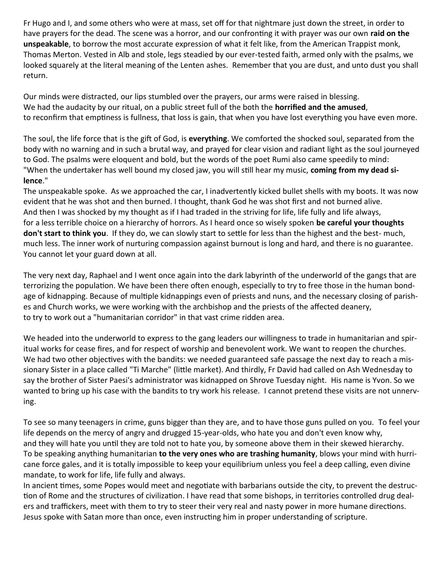Fr Hugo and I, and some others who were at mass, set off for that nightmare just down the street, in order to have prayers for the dead. The scene was a horror, and our confronting it with prayer was our own **raid on the unspeakable**, to borrow the most accurate expression of what it felt like, from the American Trappist monk, Thomas Merton. Vested in Alb and stole, legs steadied by our ever-tested faith, armed only with the psalms, we looked squarely at the literal meaning of the Lenten ashes. Remember that you are dust, and unto dust you shall return.

Our minds were distracted, our lips stumbled over the prayers, our arms were raised in blessing. We had the audacity by our ritual, on a public street full of the both the **horrified and the amused**, to reconfirm that emptiness is fullness, that loss is gain, that when you have lost everything you have even more.

The soul, the life force that is the gift of God, is **everything**. We comforted the shocked soul, separated from the body with no warning and in such a brutal way, and prayed for clear vision and radiant light as the soul journeyed to God. The psalms were eloquent and bold, but the words of the poet Rumi also came speedily to mind: "When the undertaker has well bound my closed jaw, you will still hear my music, **coming from my dead silence**."

The unspeakable spoke. As we approached the car, I inadvertently kicked bullet shells with my boots. It was now evident that he was shot and then burned. I thought, thank God he was shot first and not burned alive. And then I was shocked by my thought as if I had traded in the striving for life, life fully and life always, for a less terrible choice on a hierarchy of horrors. As I heard once so wisely spoken **be careful your thoughts don't start to think you**. If they do, we can slowly start to settle for less than the highest and the best- much, much less. The inner work of nurturing compassion against burnout is long and hard, and there is no guarantee. You cannot let your guard down at all.

The very next day, Raphael and I went once again into the dark labyrinth of the underworld of the gangs that are terrorizing the population. We have been there often enough, especially to try to free those in the human bondage of kidnapping. Because of multiple kidnappings even of priests and nuns, and the necessary closing of parishes and Church works, we were working with the archbishop and the priests of the affected deanery, to try to work out a "humanitarian corridor" in that vast crime ridden area.

We headed into the underworld to express to the gang leaders our willingness to trade in humanitarian and spiritual works for cease fires, and for respect of worship and benevolent work. We want to reopen the churches. We had two other objectives with the bandits: we needed guaranteed safe passage the next day to reach a missionary Sister in a place called "Ti Marche" (little market). And thirdly, Fr David had called on Ash Wednesday to say the brother of Sister Paesi's administrator was kidnapped on Shrove Tuesday night. His name is Yvon. So we wanted to bring up his case with the bandits to try work his release. I cannot pretend these visits are not unnerving.

To see so many teenagers in crime, guns bigger than they are, and to have those guns pulled on you. To feel your life depends on the mercy of angry and drugged 15-year-olds, who hate you and don't even know why, and they will hate you until they are told not to hate you, by someone above them in their skewed hierarchy. To be speaking anything humanitarian **to the very ones who are trashing humanity**, blows your mind with hurricane force gales, and it is totally impossible to keep your equilibrium unless you feel a deep calling, even divine mandate, to work for life, life fully and always.

In ancient times, some Popes would meet and negotiate with barbarians outside the city, to prevent the destruction of Rome and the structures of civilization. I have read that some bishops, in territories controlled drug dealers and traffickers, meet with them to try to steer their very real and nasty power in more humane directions. Jesus spoke with Satan more than once, even instructing him in proper understanding of scripture.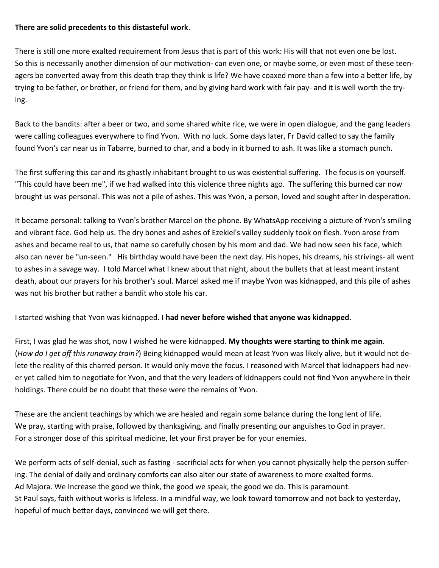### **There are solid precedents to this distasteful work**.

There is still one more exalted requirement from Jesus that is part of this work: His will that not even one be lost. So this is necessarily another dimension of our motivation- can even one, or maybe some, or even most of these teenagers be converted away from this death trap they think is life? We have coaxed more than a few into a better life, by trying to be father, or brother, or friend for them, and by giving hard work with fair pay- and it is well worth the trying.

Back to the bandits: after a beer or two, and some shared white rice, we were in open dialogue, and the gang leaders were calling colleagues everywhere to find Yvon. With no luck. Some days later, Fr David called to say the family found Yvon's car near us in Tabarre, burned to char, and a body in it burned to ash. It was like a stomach punch.

The first suffering this car and its ghastly inhabitant brought to us was existential suffering. The focus is on yourself. "This could have been me", if we had walked into this violence three nights ago. The suffering this burned car now brought us was personal. This was not a pile of ashes. This was Yvon, a person, loved and sought after in desperation.

It became personal: talking to Yvon's brother Marcel on the phone. By WhatsApp receiving a picture of Yvon's smiling and vibrant face. God help us. The dry bones and ashes of Ezekiel's valley suddenly took on flesh. Yvon arose from ashes and became real to us, that name so carefully chosen by his mom and dad. We had now seen his face, which also can never be "un-seen." His birthday would have been the next day. His hopes, his dreams, his strivings- all went to ashes in a savage way. I told Marcel what I knew about that night, about the bullets that at least meant instant death, about our prayers for his brother's soul. Marcel asked me if maybe Yvon was kidnapped, and this pile of ashes was not his brother but rather a bandit who stole his car.

I started wishing that Yvon was kidnapped. **I had never before wished that anyone was kidnapped**.

First, I was glad he was shot, now I wished he were kidnapped. **My thoughts were starting to think me again**. (*How do I get off this runaway train?*) Being kidnapped would mean at least Yvon was likely alive, but it would not delete the reality of this charred person. It would only move the focus. I reasoned with Marcel that kidnappers had never yet called him to negotiate for Yvon, and that the very leaders of kidnappers could not find Yvon anywhere in their holdings. There could be no doubt that these were the remains of Yvon.

These are the ancient teachings by which we are healed and regain some balance during the long lent of life. We pray, starting with praise, followed by thanksgiving, and finally presenting our anguishes to God in prayer. For a stronger dose of this spiritual medicine, let your first prayer be for your enemies.

We perform acts of self-denial, such as fasting - sacrificial acts for when you cannot physically help the person suffering. The denial of daily and ordinary comforts can also alter our state of awareness to more exalted forms. Ad Majora. We Increase the good we think, the good we speak, the good we do. This is paramount. St Paul says, faith without works is lifeless. In a mindful way, we look toward tomorrow and not back to yesterday, hopeful of much better days, convinced we will get there.